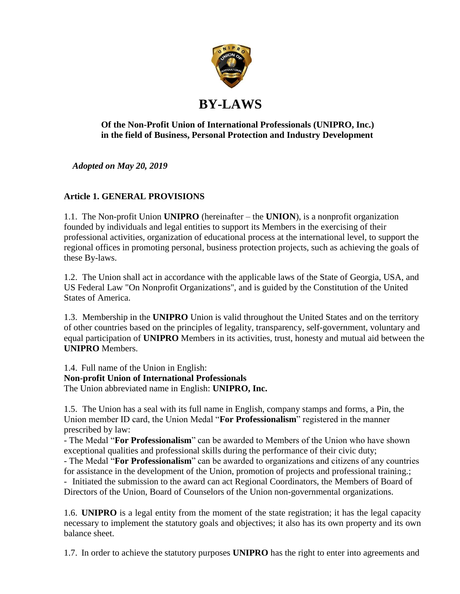

# **Of the Non-Profit Union of International Professionals (UNIPRO, Inc.) in the field of Business, Personal Protection and Industry Development**

*Adopted on May 20, 2019*

# **Article 1. GENERAL PROVISIONS**

1.1. The Non-profit Union **UNIPRO** (hereinafter – the **UNION**), is a nonprofit organization founded by individuals and legal entities to support its Members in the exercising of their professional activities, organization of educational process at the international level, to support the regional offices in promoting personal, business protection projects, such as achieving the goals of these By-laws.

1.2. The Union shall act in accordance with the applicable laws of the State of Georgia, USA, and US Federal Law "On Nonprofit Organizations", and is guided by the Constitution of the United States of America.

1.3. Membership in the **UNIPRO** Union is valid throughout the United States and on the territory of other countries based on the principles of legality, transparency, self-government, voluntary and equal participation of **UNIPRO** Members in its activities, trust, honesty and mutual aid between the **UNIPRO** Members.

1.4. Full name of the Union in English: **Non-profit Union of International Professionals** The Union abbreviated name in English: **UNIPRO, Inc.**

1.5. The Union has a seal with its full name in English, company stamps and forms, a Pin, the Union member ID card, the Union Medal "**For Professionalism**" registered in the manner prescribed by law:

- The Medal "**For Professionalism**" can be awarded to Members of the Union who have shown exceptional qualities and professional skills during the performance of their civic duty;

- The Medal "**For Professionalism**" can be awarded to organizations and citizens of any countries for assistance in the development of the Union, promotion of projects and professional training.;

- Initiated the submission to the award can act Regional Coordinators, the Members of Board of Directors of the Union, Board of Counselors of the Union non-governmental organizations.

1.6. **UNIPRO** is a legal entity from the moment of the state registration; it has the legal capacity necessary to implement the statutory goals and objectives; it also has its own property and its own balance sheet.

1.7. In order to achieve the statutory purposes **UNIPRO** has the right to enter into agreements and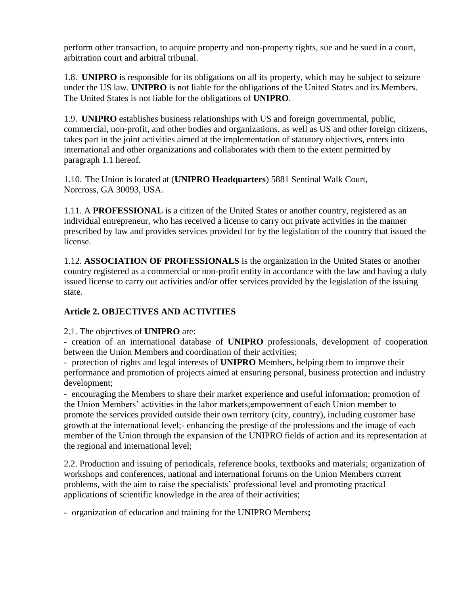perform other transaction, to acquire property and non-property rights, sue and be sued in a court, arbitration court and arbitral tribunal.

1.8. **UNIPRO** is responsible for its obligations on all its property, which may be subject to seizure under the US law. **UNIPRO** is not liable for the obligations of the United States and its Members. The United States is not liable for the obligations of **UNIPRO**.

1.9. **UNIPRO** establishes business relationships with US and foreign governmental, public, commercial, non-profit, and other bodies and organizations, as well as US and other foreign citizens, takes part in the joint activities aimed at the implementation of statutory objectives, enters into international and other organizations and collaborates with them to the extent permitted by paragraph 1.1 hereof.

1.10. The Union is located at (**UNIPRO Headquarters**) 5881 Sentinal Walk Court, Norcross, GA 30093, USA.

1.11. A **PROFESSIONAL** is a citizen of the United States or another country, registered as an individual entrepreneur, who has received a license to carry out private activities in the manner prescribed by law and provides services provided for by the legislation of the country that issued the license.

1.12. **ASSOCIATION OF PROFESSIONALS** is the organization in the United States or another country registered as a commercial or non-profit entity in accordance with the law and having a duly issued license to carry out activities and/or offer services provided by the legislation of the issuing state.

# **Article 2. OBJECTIVES AND ACTIVITIES**

#### 2.1. The objectives of **UNIPRO** are:

- creation of an international database of **UNIPRO** professionals, development of cooperation between the Union Members and coordination of their activities;

- protection of rights and legal interests of **UNIPRO** Members, helping them to improve their performance and promotion of projects aimed at ensuring personal, business protection and industry development;

- encouraging the Members to share their market experience and useful information; promotion of the Union Members' activities in the labor markets;empowerment of each Union member to promote the services provided outside their own territory (city, country), including customer base growth at the international level;- enhancing the prestige of the professions and the image of each member of the Union through the expansion of the UNIPRO fields of action and its representation at the regional and international level;

2.2. Production and issuing of periodicals, reference books, textbooks and materials; organization of workshops and conferences, national and international forums on the Union Members current problems, with the aim to raise the specialists' professional level and promoting practical applications of scientific knowledge in the area of their activities;

- organization of education and training for the UNIPRO Members**;**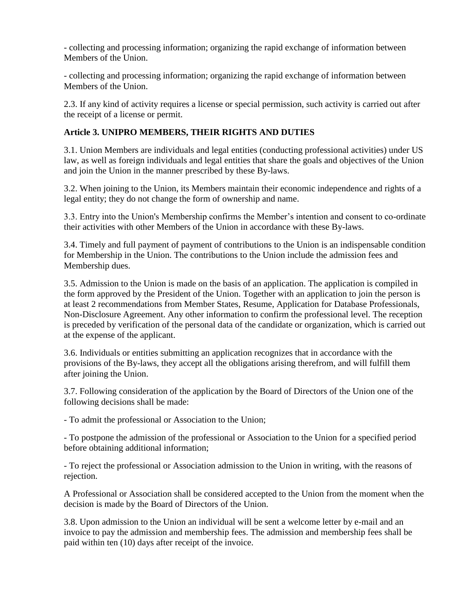- collecting and processing information; organizing the rapid exchange of information between Members of the Union.

- collecting and processing information; organizing the rapid exchange of information between Members of the Union.

2.3. If any kind of activity requires a license or special permission, such activity is carried out after the receipt of a license or permit.

# **Article 3. UNIPRO MEMBERS, THEIR RIGHTS AND DUTIES**

3.1. Union Members are individuals and legal entities (conducting professional activities) under US law, as well as foreign individuals and legal entities that share the goals and objectives of the Union and join the Union in the manner prescribed by these By-laws.

3.2. When joining to the Union, its Members maintain their economic independence and rights of a legal entity; they do not change the form of ownership and name.

3.3. Entry into the Union's Membership confirms the Member's intention and consent to co-ordinate their activities with other Members of the Union in accordance with these By-laws.

3.4. Timely and full payment of payment of contributions to the Union is an indispensable condition for Membership in the Union. The contributions to the Union include the admission fees and Membership dues.

3.5. Admission to the Union is made on the basis of an application. The application is compiled in the form approved by the President of the Union. Together with an application to join the person is at least 2 recommendations from Member States, Resume, Application for Database Professionals, Non-Disclosure Agreement. Any other information to confirm the professional level. The reception is preceded by verification of the personal data of the candidate or organization, which is carried out at the expense of the applicant.

3.6. Individuals or entities submitting an application recognizes that in accordance with the provisions of the By-laws, they accept all the obligations arising therefrom, and will fulfill them after joining the Union.

3.7. Following consideration of the application by the Board of Directors of the Union one of the following decisions shall be made:

- To admit the professional or Association to the Union;

- To postpone the admission of the professional or Association to the Union for a specified period before obtaining additional information;

- To reject the professional or Association admission to the Union in writing, with the reasons of rejection.

A Professional or Association shall be considered accepted to the Union from the moment when the decision is made by the Board of Directors of the Union.

3.8. Upon admission to the Union an individual will be sent a welcome letter by e-mail and an invoice to pay the admission and membership fees. The admission and membership fees shall be paid within ten (10) days after receipt of the invoice.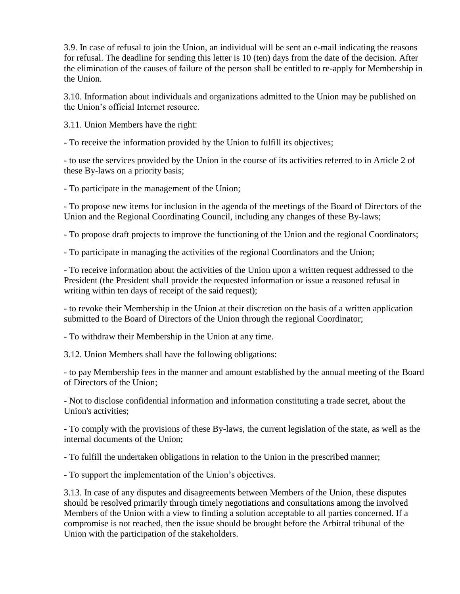3.9. In case of refusal to join the Union, an individual will be sent an e-mail indicating the reasons for refusal. The deadline for sending this letter is 10 (ten) days from the date of the decision. After the elimination of the causes of failure of the person shall be entitled to re-apply for Membership in the Union.

3.10. Information about individuals and organizations admitted to the Union may be published on the Union's official Internet resource.

3.11. Union Members have the right:

- To receive the information provided by the Union to fulfill its objectives;

- to use the services provided by the Union in the course of its activities referred to in Article 2 of these By-laws on a priority basis;

- To participate in the management of the Union;

- To propose new items for inclusion in the agenda of the meetings of the Board of Directors of the Union and the Regional Coordinating Council, including any changes of these By-laws;

- To propose draft projects to improve the functioning of the Union and the regional Coordinators;

- To participate in managing the activities of the regional Coordinators and the Union;

- To receive information about the activities of the Union upon a written request addressed to the President (the President shall provide the requested information or issue a reasoned refusal in writing within ten days of receipt of the said request);

- to revoke their Membership in the Union at their discretion on the basis of a written application submitted to the Board of Directors of the Union through the regional Coordinator;

- To withdraw their Membership in the Union at any time.

3.12. Union Members shall have the following obligations:

- to pay Membership fees in the manner and amount established by the annual meeting of the Board of Directors of the Union;

- Not to disclose confidential information and information constituting a trade secret, about the Union's activities;

- To comply with the provisions of these By-laws, the current legislation of the state, as well as the internal documents of the Union;

- To fulfill the undertaken obligations in relation to the Union in the prescribed manner;

- To support the implementation of the Union's objectives.

3.13. In case of any disputes and disagreements between Members of the Union, these disputes should be resolved primarily through timely negotiations and consultations among the involved Members of the Union with a view to finding a solution acceptable to all parties concerned. If a compromise is not reached, then the issue should be brought before the Arbitral tribunal of the Union with the participation of the stakeholders.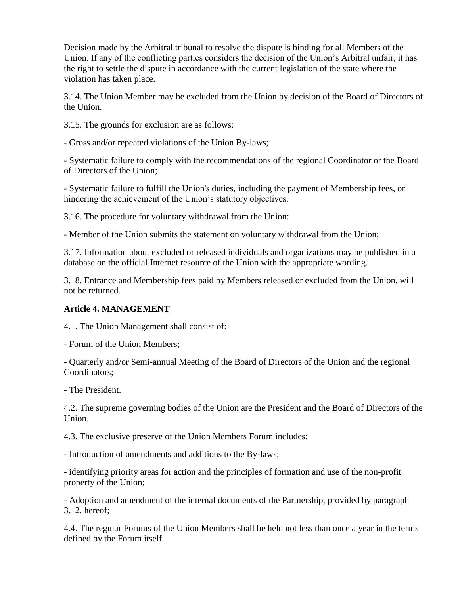Decision made by the Arbitral tribunal to resolve the dispute is binding for all Members of the Union. If any of the conflicting parties considers the decision of the Union's Arbitral unfair, it has the right to settle the dispute in accordance with the current legislation of the state where the violation has taken place.

3.14. The Union Member may be excluded from the Union by decision of the Board of Directors of the Union.

3.15. The grounds for exclusion are as follows:

- Gross and/or repeated violations of the Union By-laws;

- Systematic failure to comply with the recommendations of the regional Coordinator or the Board of Directors of the Union;

- Systematic failure to fulfill the Union's duties, including the payment of Membership fees, or hindering the achievement of the Union's statutory objectives.

3.16. The procedure for voluntary withdrawal from the Union:

- Member of the Union submits the statement on voluntary withdrawal from the Union;

3.17. Information about excluded or released individuals and organizations may be published in a database on the official Internet resource of the Union with the appropriate wording.

3.18. Entrance and Membership fees paid by Members released or excluded from the Union, will not be returned.

#### **Article 4. MANAGEMENT**

4.1. The Union Management shall consist of:

- Forum of the Union Members;

- Quarterly and/or Semi-annual Meeting of the Board of Directors of the Union and the regional Coordinators;

- The President.

4.2. The supreme governing bodies of the Union are the President and the Board of Directors of the Union.

4.3. The exclusive preserve of the Union Members Forum includes:

- Introduction of amendments and additions to the By-laws;

- identifying priority areas for action and the principles of formation and use of the non-profit property of the Union;

- Adoption and amendment of the internal documents of the Partnership, provided by paragraph 3.12. hereof;

4.4. The regular Forums of the Union Members shall be held not less than once a year in the terms defined by the Forum itself.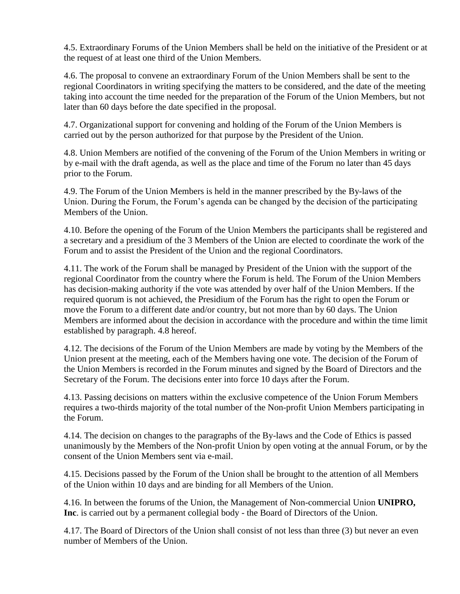4.5. Extraordinary Forums of the Union Members shall be held on the initiative of the President or at the request of at least one third of the Union Members.

4.6. The proposal to convene an extraordinary Forum of the Union Members shall be sent to the regional Coordinators in writing specifying the matters to be considered, and the date of the meeting taking into account the time needed for the preparation of the Forum of the Union Members, but not later than 60 days before the date specified in the proposal.

4.7. Organizational support for convening and holding of the Forum of the Union Members is carried out by the person authorized for that purpose by the President of the Union.

4.8. Union Members are notified of the convening of the Forum of the Union Members in writing or by e-mail with the draft agenda, as well as the place and time of the Forum no later than 45 days prior to the Forum.

4.9. The Forum of the Union Members is held in the manner prescribed by the By-laws of the Union. During the Forum, the Forum's agenda can be changed by the decision of the participating Members of the Union.

4.10. Before the opening of the Forum of the Union Members the participants shall be registered and a secretary and a presidium of the 3 Members of the Union are elected to coordinate the work of the Forum and to assist the President of the Union and the regional Coordinators.

4.11. The work of the Forum shall be managed by President of the Union with the support of the regional Coordinator from the country where the Forum is held. The Forum of the Union Members has decision-making authority if the vote was attended by over half of the Union Members. If the required quorum is not achieved, the Presidium of the Forum has the right to open the Forum or move the Forum to a different date and/or country, but not more than by 60 days. The Union Members are informed about the decision in accordance with the procedure and within the time limit established by paragraph. 4.8 hereof.

4.12. The decisions of the Forum of the Union Members are made by voting by the Members of the Union present at the meeting, each of the Members having one vote. The decision of the Forum of the Union Members is recorded in the Forum minutes and signed by the Board of Directors and the Secretary of the Forum. The decisions enter into force 10 days after the Forum.

4.13. Passing decisions on matters within the exclusive competence of the Union Forum Members requires a two-thirds majority of the total number of the Non-profit Union Members participating in the Forum.

4.14. The decision on changes to the paragraphs of the By-laws and the Code of Ethics is passed unanimously by the Members of the Non-profit Union by open voting at the annual Forum, or by the consent of the Union Members sent via e-mail.

4.15. Decisions passed by the Forum of the Union shall be brought to the attention of all Members of the Union within 10 days and are binding for all Members of the Union.

4.16. In between the forums of the Union, the Management of Non-commercial Union **UNIPRO, Inc**. is carried out by a permanent collegial body - the Board of Directors of the Union.

4.17. The Board of Directors of the Union shall consist of not less than three (3) but never an even number of Members of the Union.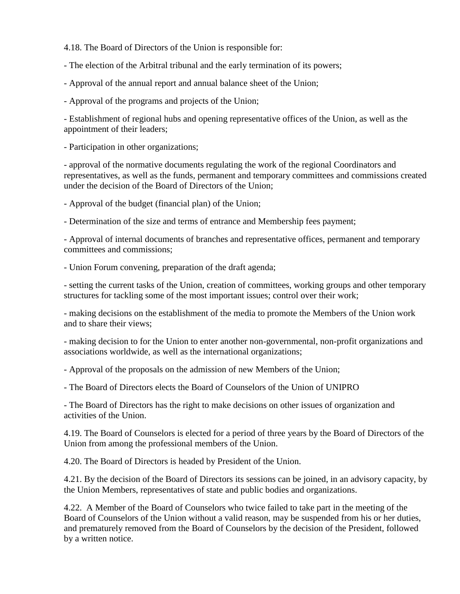4.18. The Board of Directors of the Union is responsible for:

- The election of the Arbitral tribunal and the early termination of its powers;

- Approval of the annual report and annual balance sheet of the Union;

- Approval of the programs and projects of the Union;

- Establishment of regional hubs and opening representative offices of the Union, as well as the appointment of their leaders;

- Participation in other organizations;

- approval of the normative documents regulating the work of the regional Coordinators and representatives, as well as the funds, permanent and temporary committees and commissions created under the decision of the Board of Directors of the Union;

- Approval of the budget (financial plan) of the Union;

- Determination of the size and terms of entrance and Membership fees payment;

- Approval of internal documents of branches and representative offices, permanent and temporary committees and commissions;

- Union Forum convening, preparation of the draft agenda;

- setting the current tasks of the Union, creation of committees, working groups and other temporary structures for tackling some of the most important issues; control over their work;

- making decisions on the establishment of the media to promote the Members of the Union work and to share their views;

- making decision to for the Union to enter another non-governmental, non-profit organizations and associations worldwide, as well as the international organizations;

- Approval of the proposals on the admission of new Members of the Union;

- The Board of Directors elects the Board of Counselors of the Union of UNIPRO

- The Board of Directors has the right to make decisions on other issues of organization and activities of the Union.

4.19. The Board of Counselors is elected for a period of three years by the Board of Directors of the Union from among the professional members of the Union.

4.20. The Board of Directors is headed by President of the Union.

4.21. By the decision of the Board of Directors its sessions can be joined, in an advisory capacity, by the Union Members, representatives of state and public bodies and organizations.

4.22. A Member of the Board of Counselors who twice failed to take part in the meeting of the Board of Counselors of the Union without a valid reason, may be suspended from his or her duties, and prematurely removed from the Board of Counselors by the decision of the President, followed by a written notice.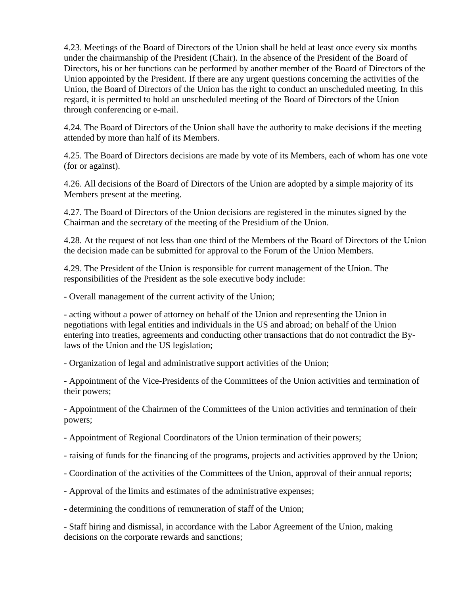4.23. Meetings of the Board of Directors of the Union shall be held at least once every six months under the chairmanship of the President (Chair). In the absence of the President of the Board of Directors, his or her functions can be performed by another member of the Board of Directors of the Union appointed by the President. If there are any urgent questions concerning the activities of the Union, the Board of Directors of the Union has the right to conduct an unscheduled meeting. In this regard, it is permitted to hold an unscheduled meeting of the Board of Directors of the Union through conferencing or e-mail.

4.24. The Board of Directors of the Union shall have the authority to make decisions if the meeting attended by more than half of its Members.

4.25. The Board of Directors decisions are made by vote of its Members, each of whom has one vote (for or against).

4.26. All decisions of the Board of Directors of the Union are adopted by a simple majority of its Members present at the meeting.

4.27. The Board of Directors of the Union decisions are registered in the minutes signed by the Chairman and the secretary of the meeting of the Presidium of the Union.

4.28. At the request of not less than one third of the Members of the Board of Directors of the Union the decision made can be submitted for approval to the Forum of the Union Members.

4.29. The President of the Union is responsible for current management of the Union. The responsibilities of the President as the sole executive body include:

- Overall management of the current activity of the Union;

- acting without a power of attorney on behalf of the Union and representing the Union in negotiations with legal entities and individuals in the US and abroad; on behalf of the Union entering into treaties, agreements and conducting other transactions that do not contradict the Bylaws of the Union and the US legislation;

- Organization of legal and administrative support activities of the Union;

- Appointment of the Vice-Presidents of the Committees of the Union activities and termination of their powers;

- Appointment of the Chairmen of the Committees of the Union activities and termination of their powers;

- Appointment of Regional Coordinators of the Union termination of their powers;

- raising of funds for the financing of the programs, projects and activities approved by the Union;

- Coordination of the activities of the Committees of the Union, approval of their annual reports;
- Approval of the limits and estimates of the administrative expenses;

- determining the conditions of remuneration of staff of the Union;

- Staff hiring and dismissal, in accordance with the Labor Agreement of the Union, making decisions on the corporate rewards and sanctions;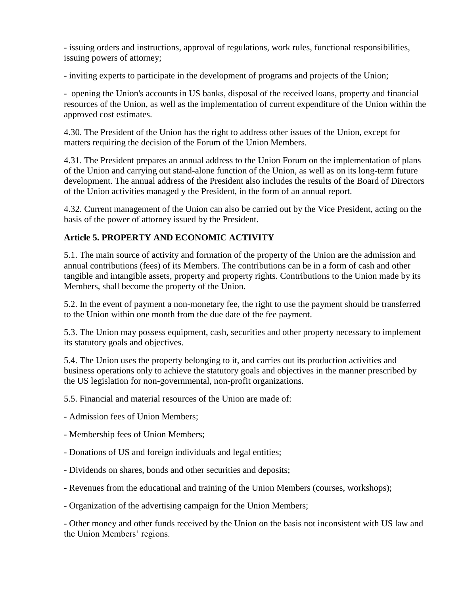- issuing orders and instructions, approval of regulations, work rules, functional responsibilities, issuing powers of attorney;

- inviting experts to participate in the development of programs and projects of the Union;

- opening the Union's accounts in US banks, disposal of the received loans, property and financial resources of the Union, as well as the implementation of current expenditure of the Union within the approved cost estimates.

4.30. The President of the Union has the right to address other issues of the Union, except for matters requiring the decision of the Forum of the Union Members.

4.31. The President prepares an annual address to the Union Forum on the implementation of plans of the Union and carrying out stand-alone function of the Union, as well as on its long-term future development. The annual address of the President also includes the results of the Board of Directors of the Union activities managed y the President, in the form of an annual report.

4.32. Current management of the Union can also be carried out by the Vice President, acting on the basis of the power of attorney issued by the President.

# **Article 5. PROPERTY AND ECONOMIC ACTIVITY**

5.1. The main source of activity and formation of the property of the Union are the admission and annual contributions (fees) of its Members. The contributions can be in a form of cash and other tangible and intangible assets, property and property rights. Contributions to the Union made by its Members, shall become the property of the Union.

5.2. In the event of payment a non-monetary fee, the right to use the payment should be transferred to the Union within one month from the due date of the fee payment.

5.3. The Union may possess equipment, cash, securities and other property necessary to implement its statutory goals and objectives.

5.4. The Union uses the property belonging to it, and carries out its production activities and business operations only to achieve the statutory goals and objectives in the manner prescribed by the US legislation for non-governmental, non-profit organizations.

5.5. Financial and material resources of the Union are made of:

- Admission fees of Union Members;

- Membership fees of Union Members;
- Donations of US and foreign individuals and legal entities;
- Dividends on shares, bonds and other securities and deposits;
- Revenues from the educational and training of the Union Members (courses, workshops);
- Organization of the advertising campaign for the Union Members;

- Other money and other funds received by the Union on the basis not inconsistent with US law and the Union Members' regions.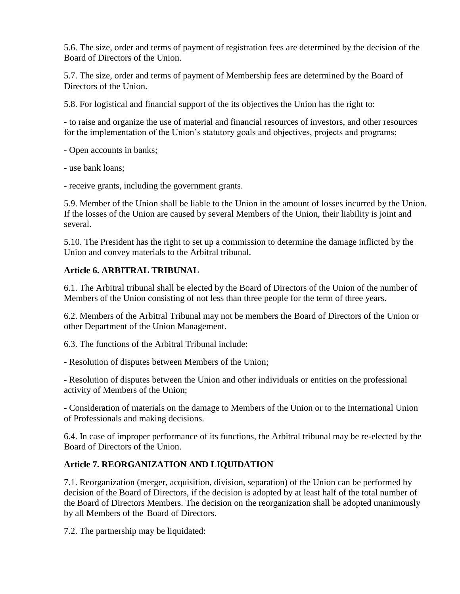5.6. The size, order and terms of payment of registration fees are determined by the decision of the Board of Directors of the Union.

5.7. The size, order and terms of payment of Membership fees are determined by the Board of Directors of the Union.

5.8. For logistical and financial support of the its objectives the Union has the right to:

- to raise and organize the use of material and financial resources of investors, and other resources for the implementation of the Union's statutory goals and objectives, projects and programs;

- Open accounts in banks;

- use bank loans;

- receive grants, including the government grants.

5.9. Member of the Union shall be liable to the Union in the amount of losses incurred by the Union. If the losses of the Union are caused by several Members of the Union, their liability is joint and several.

5.10. The President has the right to set up a commission to determine the damage inflicted by the Union and convey materials to the Arbitral tribunal.

#### **Article 6. ARBITRAL TRIBUNAL**

6.1. The Arbitral tribunal shall be elected by the Board of Directors of the Union of the number of Members of the Union consisting of not less than three people for the term of three years.

6.2. Members of the Arbitral Tribunal may not be members the Board of Directors of the Union or other Department of the Union Management.

6.3. The functions of the Arbitral Tribunal include:

- Resolution of disputes between Members of the Union;

- Resolution of disputes between the Union and other individuals or entities on the professional activity of Members of the Union;

- Consideration of materials on the damage to Members of the Union or to the International Union of Professionals and making decisions.

6.4. In case of improper performance of its functions, the Arbitral tribunal may be re-elected by the Board of Directors of the Union.

# **Article 7. REORGANIZATION AND LIQUIDATION**

7.1. Reorganization (merger, acquisition, division, separation) of the Union can be performed by decision of the Board of Directors, if the decision is adopted by at least half of the total number of the Board of Directors Members. The decision on the reorganization shall be adopted unanimously by all Members of the Board of Directors.

7.2. The partnership may be liquidated: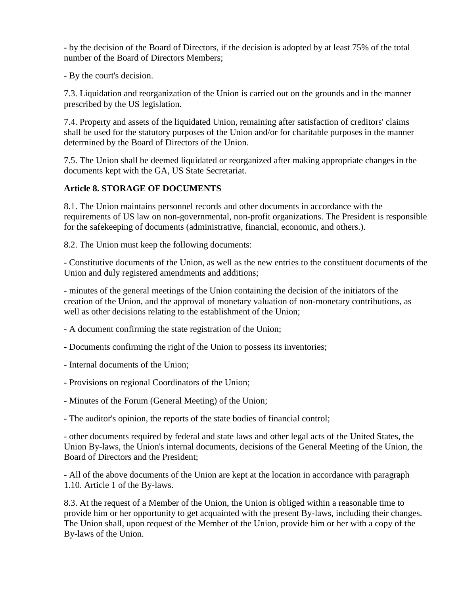- by the decision of the Board of Directors, if the decision is adopted by at least 75% of the total number of the Board of Directors Members;

- By the court's decision.

7.3. Liquidation and reorganization of the Union is carried out on the grounds and in the manner prescribed by the US legislation.

7.4. Property and assets of the liquidated Union, remaining after satisfaction of creditors' claims shall be used for the statutory purposes of the Union and/or for charitable purposes in the manner determined by the Board of Directors of the Union.

7.5. The Union shall be deemed liquidated or reorganized after making appropriate changes in the documents kept with the GA, US State Secretariat.

# **Article 8. STORAGE OF DOCUMENTS**

8.1. The Union maintains personnel records and other documents in accordance with the requirements of US law on non-governmental, non-profit organizations. The President is responsible for the safekeeping of documents (administrative, financial, economic, and others.).

8.2. The Union must keep the following documents:

- Constitutive documents of the Union, as well as the new entries to the constituent documents of the Union and duly registered amendments and additions;

- minutes of the general meetings of the Union containing the decision of the initiators of the creation of the Union, and the approval of monetary valuation of non-monetary contributions, as well as other decisions relating to the establishment of the Union;

- A document confirming the state registration of the Union;
- Documents confirming the right of the Union to possess its inventories;
- Internal documents of the Union;
- Provisions on regional Coordinators of the Union;
- Minutes of the Forum (General Meeting) of the Union;

- The auditor's opinion, the reports of the state bodies of financial control;

- other documents required by federal and state laws and other legal acts of the United States, the Union By-laws, the Union's internal documents, decisions of the General Meeting of the Union, the Board of Directors and the President;

- All of the above documents of the Union are kept at the location in accordance with paragraph 1.10. Article 1 of the By-laws.

8.3. At the request of a Member of the Union, the Union is obliged within a reasonable time to provide him or her opportunity to get acquainted with the present By-laws, including their changes. The Union shall, upon request of the Member of the Union, provide him or her with a copy of the By-laws of the Union.